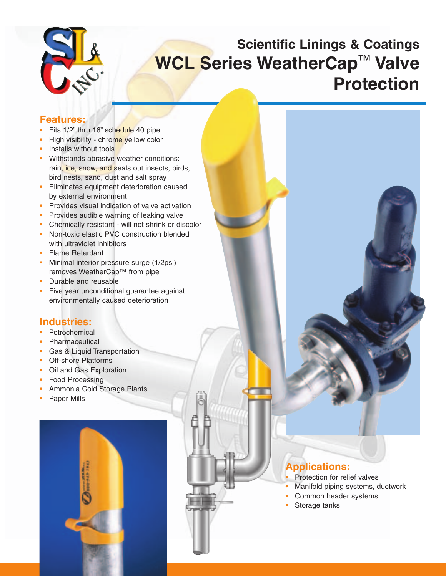

# **Scientific Linings & Coatings WCL Series WeatherCap**™ **Valve Protection**

### **Features:**

- Fits  $1/2$ " thru 16" schedule 40 pipe
- High visibility chrome yellow color
- Installs without tools
- Withstands abrasive weather conditions: rain, ice, snow, and seals out insects, birds, bird nests, sand, dust and salt spray
- Eliminates equipment deterioration caused by external environment
- Provides visual indication of valve activation
- Provides audible warning of leaking valve
- Chemically resistant will not shrink or discolor
- Non-toxic elastic PVC construction blended with ultraviolet inhibitors
- Flame Retardant
- Minimal interior pressure surge (1/2psi) removes WeatherCap™ from pipe
- Durable and reusable
- Five year unconditional guarantee against environmentally caused deterioration

## **Industries:**

- **Petrochemical**
- **Pharmaceutical**
- Gas & Liquid Transportation
- **Off-shore Platforms**
- Oil and Gas Exploration
- Food Processing
- Ammonia Cold Storage Plants
- Paper Mills



# **Applications:**

- Protection for relief valves
- Manifold piping systems, ductwork
- Common header systems
- Storage tanks